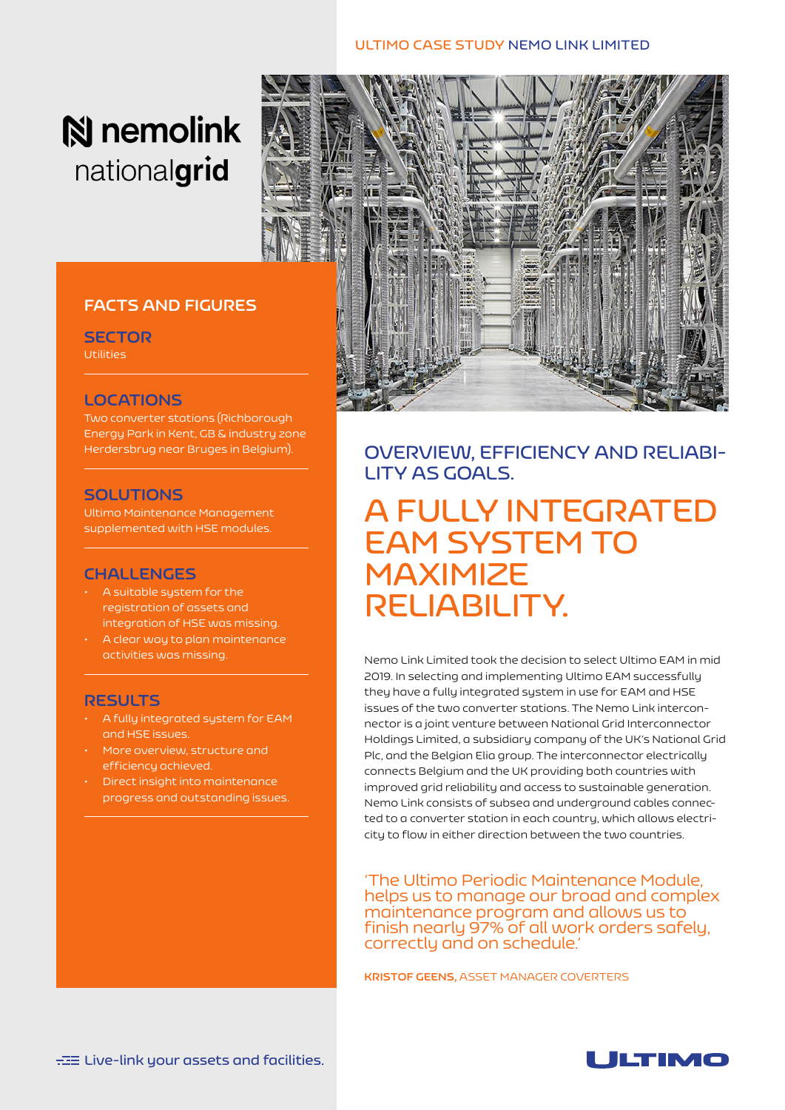#### **ULTIMO CASE STUDY NEMO LINK LIMITED**

# **N** nemolink nationalgrid

#### **FACTS AND FIGURES**

**SECTOR Utilities** 

#### **LOCATIONS**

Two converter stations (Richborough Energy Park in Kent, GB & industry zone Herdersbrug near Bruges in Belgium).

#### **SOLUTIONS**

Ultimo Maintenance Management supplemented with HSE modules.

#### **CHALLENGES**

- A suitable system for the registration of assets and integration of HSE was missing.
- A clear way to plan maintenance activities was missing.

#### **RESULTS**

- A fully integrated system for EAM and HSE issues.
- More overview, structure and efficiency achieved.
- Direct insight into maintenance progress and outstanding issues.



**OVERVIEW, EFFICIENCY AND RELIABI-LITY AS GOALS.**

## **A FULLY INTEGRATED EAM SYSTEM TO MAXIMIZE RELIABILITY.**

Nemo Link Limited took the decision to select Ultimo EAM in mid 2019. In selecting and implementing Ultimo EAM successfully they have a fully integrated system in use for EAM and HSE issues of the two converter stations. The Nemo Link interconnector is a joint venture between National Grid Interconnector Holdings Limited, a subsidiary company of the UK's National Grid Plc, and the Belgian Elia group. The interconnector electrically connects Belgium and the UK providing both countries with improved grid reliability and access to sustainable generation. Nemo Link consists of subsea and underground cables connected to a converter station in each country, which allows electricity to flow in either direction between the two countries.

'The Ultimo Periodic Maintenance Module, helps us to manage our broad and complex maintenance program and allows us to finish nearly 97% of all work orders safely, correctly and on schedule.'

**KRISTOF GEENS,** ASSET MANAGER COVERTERS